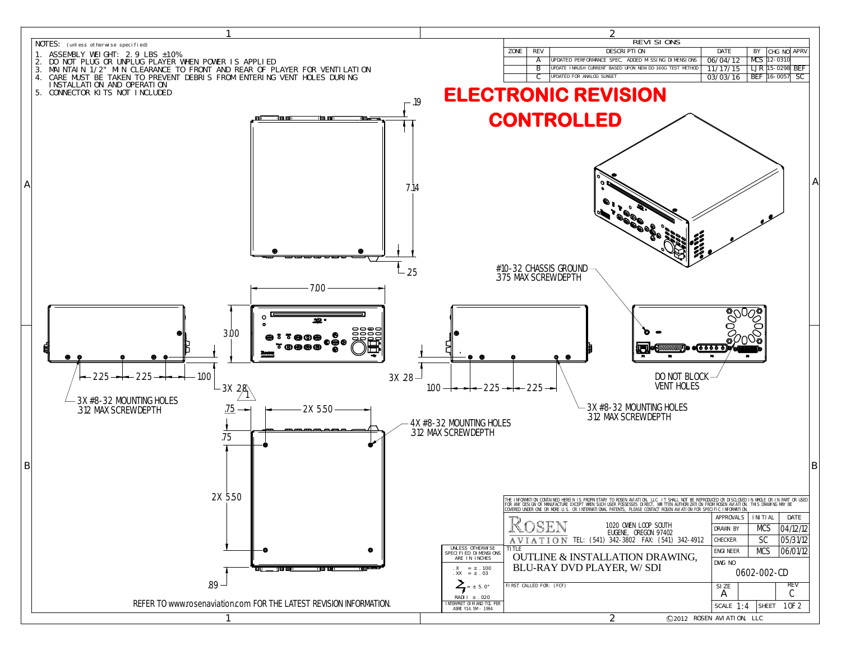